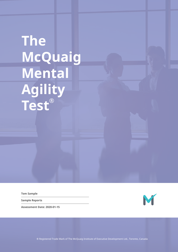# **The McQuaig Mental Agility Test®**

**Tom Sample**

**Sample Reports**

**Assessment Date: 2020-01-15**



® Registered Trade Mark of The McQuaig Institute of Executive Development Ltd., Toronto, Canada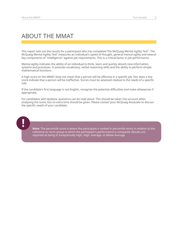## ABOUT THE MMAT

This report sets out the results for a participant who has completed The McQuaig Mental Agility Test $^\circ$ . The McQuaig Mental Agility Test® measures an individual's speed of thought, general mental agility and several key components of "intelligence" against job requirements. This is a critical factor in job performance.

Mental agility indicates the ability of an individual to think, learn and quickly absorb new information, systems and processes. It assesses vocabulary, verbal reasoning skills and the ability to perform simple mathematical functions.

A high score on the MMAT does not mean that a person will be effective in a specific job. Nor does a low score indicate that a person will be ineffective. Scores must be assessed relative to the needs of a specific role.

If the candidate's first language is not English, recognise the potential difficulties and make allowances if appropriate.

For candidates with dyslexia, questions can be read aloud. This should be taken into account when analysing the score, but no extra time should be given. Please contact your McQuaig Associate to discuss the specific needs of your candidate.



**Note:** The percentile score is where the participant is ranked in percentile terms in relation to the reference or norm group to which the participant's performance is compared. Results are reported as being in Exceptionally High, High, Average, or Below Average.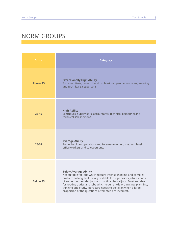# NORM GROUPS

| <b>Score</b>    | <b>Category</b>                                                                                                                                                                                                                                                                                                                                                                                                                                  |  |  |
|-----------------|--------------------------------------------------------------------------------------------------------------------------------------------------------------------------------------------------------------------------------------------------------------------------------------------------------------------------------------------------------------------------------------------------------------------------------------------------|--|--|
| <b>Above 45</b> | <b>Exceptionally High Ability</b><br>Top executives, research and professional people, some engineering<br>and technical salespersons.                                                                                                                                                                                                                                                                                                           |  |  |
| 38-45           | <b>High Ability</b><br>Executives, supervisors, accountants, technical personnel and<br>technical salespersons.                                                                                                                                                                                                                                                                                                                                  |  |  |
| $25 - 37$       | <b>Average Ability</b><br>Some first line supervisors and foremen/women, medium level<br>office workers and salespersons.                                                                                                                                                                                                                                                                                                                        |  |  |
| <b>Below 25</b> | <b>Below Average Ability</b><br>Not suitable for jobs which require intense thinking and complex<br>problem solving. Not usually suitable for supervisory jobs. Capable<br>of some routine sales jobs and routine clerical jobs. Most suitable<br>for routine duties and jobs which require little organising, planning,<br>thinking and study. More care needs to be taken when a large<br>proportion of the questions attempted are incorrect. |  |  |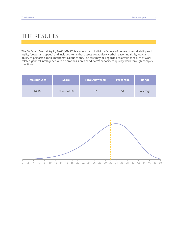## THE RESULTS

The McQuaig Mental Agility Test® (MMAT) is a measure of individual's level of general mental ability and agility (power and speed) and includes items that assess vocabulary, verbal reasoning skills, logic and ability to perform simple mathematical functions. The test may be regarded as a valid measure of workrelated general intelligence with an emphasis on a candidate's capacity to quickly work through complex functions.

| <b>Time (minutes)</b> | <b>Score</b> | <b>Total Answered</b> | <b>Percentile</b> | Range   |
|-----------------------|--------------|-----------------------|-------------------|---------|
| 14:16                 | 32 out of 50 |                       | 51                | Average |

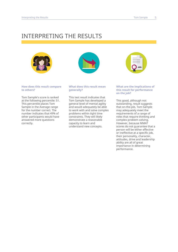## INTERPRETING THE RESULTS





#### **How does this result compare to others?**

Tom Sample's score is ranked at the following percentile: 51. This percentile places Tom Sample in the Average range for the number correct. The number indicates that 49% of other participants would have answered more questions correctly.

### **What does this result mean generally?**

This test result indicates that Tom Sample has developed a general level of mental agility and would adequately be able to work with and solve complex problems within tight time constraints. They will likely demonstrate a reasonable capacity to learn and understand new concepts.

### **What are the implications of this result for performance on the job?**

This good, although not outstanding, result suggests that on-the-job, Tom Sample may adequately meet the requirements of a range of roles that require thinking and complex problem solving. However, because MMAT scores do not guarantee that a person will be either effective or ineffective at a specific job, their personality, character, attitudes, drive and leadership ability are all of great importance in determining performance.